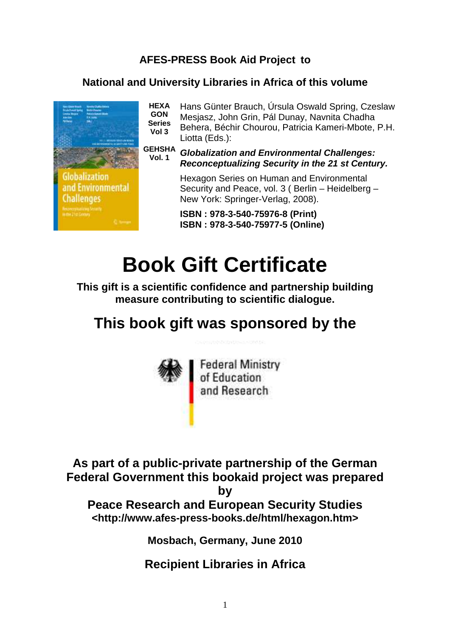## **AFES-PRESS Book Aid Project to**

## **National and University Libraries in Africa of this volume**



**HEXA GON Series Vol 3**  Hans Günter Brauch, Úrsula Oswald Spring, Czeslaw Mesjasz, John Grin, Pál Dunay, Navnita Chadha Behera, Béchir Chourou, Patricia Kameri-Mbote, P.H. Liotta (Eds.):

**GEHSHA Vol. 1 Globalization and Environmental Challenges: Reconceptualizing Security in the 21 st Century.**

> Hexagon Series on Human and Environmental Security and Peace, vol. 3 ( Berlin – Heidelberg – New York: Springer-Verlag, 2008).

**ISBN : 978-3-540-75976-8 (Print) ISBN : 978-3-540-75977-5 (Online)** 

## **Book Gift Certificate**

**This gift is a scientific confidence and partnership building measure contributing to scientific dialogue.** 

## **This book gift was sponsored by the**



**As part of a public-private partnership of the German** 

**Federal Government this bookaid project was prepared** 

**by** 

**Peace Research and European Security Studies <http://www.afes-press-books.de/html/hexagon.htm>** 

**Mosbach, Germany, June 2010** 

**Recipient Libraries in Africa**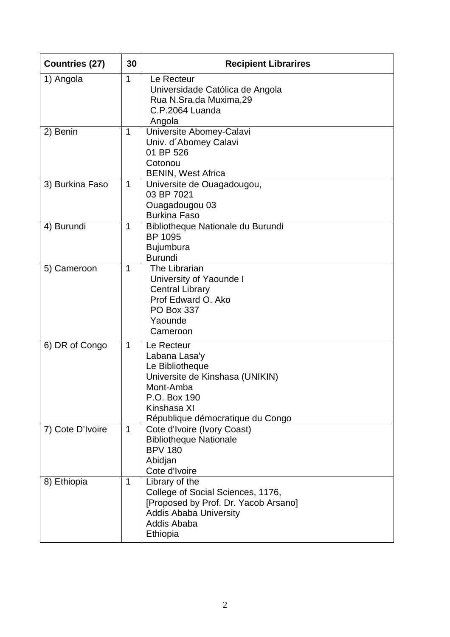| <b>Countries (27)</b> | 30           | <b>Recipient Librarires</b>                                                                                                                                       |
|-----------------------|--------------|-------------------------------------------------------------------------------------------------------------------------------------------------------------------|
| 1) Angola             | 1            | Le Recteur<br>Universidade Católica de Angola<br>Rua N.Sra.da Muxima,29<br>C.P.2064 Luanda<br>Angola                                                              |
| 2) Benin              | $\mathbf 1$  | Universite Abomey-Calavi<br>Univ. d'Abomey Calavi<br>01 BP 526<br>Cotonou<br><b>BENIN, West Africa</b>                                                            |
| 3) Burkina Faso       | $\mathbf 1$  | Universite de Ouagadougou,<br>03 BP 7021<br>Ouagadougou 03<br><b>Burkina Faso</b>                                                                                 |
| 4) Burundi            | 1            | Bibliotheque Nationale du Burundi<br><b>BP 1095</b><br><b>Bujumbura</b><br><b>Burundi</b>                                                                         |
| 5) Cameroon           | 1            | The Librarian<br>University of Yaounde I<br><b>Central Library</b><br>Prof Edward O. Ako<br><b>PO Box 337</b><br>Yaounde<br>Cameroon                              |
| 6) DR of Congo        | $\mathbf{1}$ | Le Recteur<br>Labana Lasa'y<br>Le Bibliotheque<br>Universite de Kinshasa (UNIKIN)<br>Mont-Amba<br>P.O. Box 190<br>Kinshasa XI<br>République démocratique du Congo |
| 7) Cote D'Ivoire      | $\mathbf 1$  | Cote d'Ivoire (Ivory Coast)<br><b>Bibliotheque Nationale</b><br><b>BPV 180</b><br>Abidjan<br>Cote d'Ivoire                                                        |
| 8) Ethiopia           | 1            | Library of the<br>College of Social Sciences, 1176,<br>[Proposed by Prof. Dr. Yacob Arsano]<br><b>Addis Ababa University</b><br>Addis Ababa<br>Ethiopia           |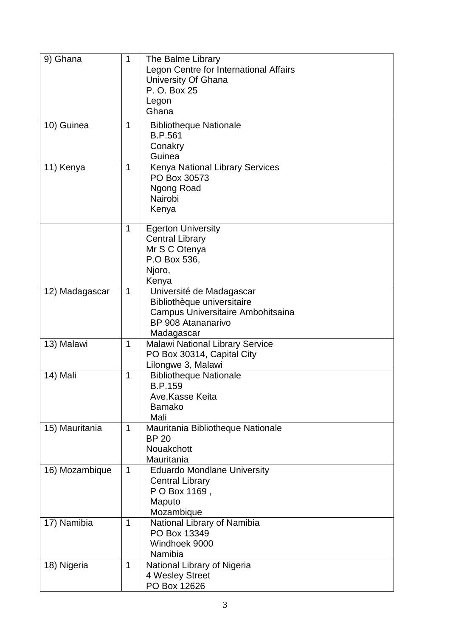| 9) Ghana       | $\mathbf{1}$ | The Balme Library<br>Legon Centre for International Affairs<br>University Of Ghana<br>P. O. Box 25<br>Legon<br>Ghana            |
|----------------|--------------|---------------------------------------------------------------------------------------------------------------------------------|
| 10) Guinea     | $\mathbf{1}$ | <b>Bibliotheque Nationale</b><br><b>B.P.561</b><br>Conakry<br>Guinea                                                            |
| 11) Kenya      | 1            | <b>Kenya National Library Services</b><br>PO Box 30573<br>Ngong Road<br>Nairobi<br>Kenya                                        |
|                | $\mathbf{1}$ | <b>Egerton University</b><br><b>Central Library</b><br>Mr S C Otenya<br>P.O Box 536,<br>Njoro,<br>Kenya                         |
| 12) Madagascar | $\mathbf 1$  | Université de Madagascar<br>Bibliothèque universitaire<br>Campus Universitaire Ambohitsaina<br>BP 908 Atananarivo<br>Madagascar |
| 13) Malawi     | $\mathbf 1$  | <b>Malawi National Library Service</b><br>PO Box 30314, Capital City<br>Lilongwe 3, Malawi                                      |
| 14) Mali       | $\mathbf 1$  | <b>Bibliotheque Nationale</b><br><b>B.P.159</b><br>Ave.Kasse Keita<br><b>Bamako</b><br>Mali                                     |
| 15) Mauritania | $\mathbf{1}$ | Mauritania Bibliotheque Nationale<br><b>BP 20</b><br>Nouakchott<br>Mauritania                                                   |
| 16) Mozambique | $\mathbf 1$  | <b>Eduardo Mondlane University</b><br><b>Central Library</b><br>P O Box 1169,<br>Maputo<br>Mozambique                           |
| 17) Namibia    | $\mathbf 1$  | National Library of Namibia<br>PO Box 13349<br>Windhoek 9000<br>Namibia                                                         |
| 18) Nigeria    | $\mathbf{1}$ | National Library of Nigeria<br>4 Wesley Street<br>PO Box 12626                                                                  |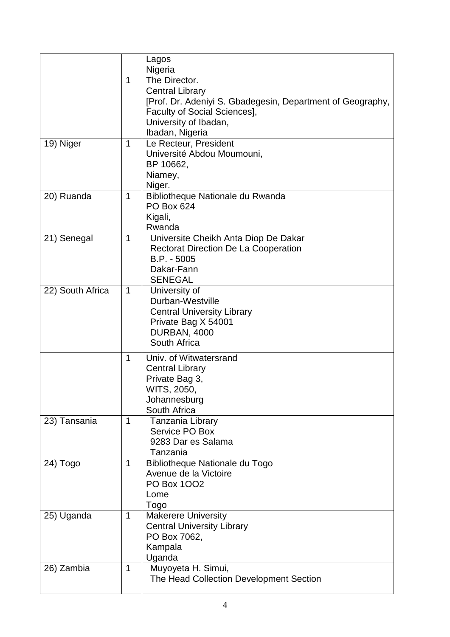|                  |              | Lagos                                                      |
|------------------|--------------|------------------------------------------------------------|
|                  |              | Nigeria                                                    |
|                  | 1            | The Director.                                              |
|                  |              | <b>Central Library</b>                                     |
|                  |              | [Prof. Dr. Adeniyi S. Gbadegesin, Department of Geography, |
|                  |              | Faculty of Social Sciences],                               |
|                  |              | University of Ibadan,                                      |
|                  |              | Ibadan, Nigeria                                            |
| 19) Niger        | $\mathbf{1}$ | Le Recteur, President                                      |
|                  |              | Université Abdou Moumouni,                                 |
|                  |              | BP 10662,                                                  |
|                  |              | Niamey,                                                    |
|                  |              | Niger.                                                     |
| 20) Ruanda       | 1            | Bibliotheque Nationale du Rwanda                           |
|                  |              | <b>PO Box 624</b>                                          |
|                  |              | Kigali,                                                    |
|                  |              | Rwanda                                                     |
| 21) Senegal      | $\mathbf 1$  | Universite Cheikh Anta Diop De Dakar                       |
|                  |              | <b>Rectorat Direction De La Cooperation</b>                |
|                  |              | $B.P. - 5005$                                              |
|                  |              | Dakar-Fann                                                 |
|                  |              | <b>SENEGAL</b>                                             |
| 22) South Africa | $\mathbf{1}$ | University of                                              |
|                  |              | Durban-Westville                                           |
|                  |              | <b>Central University Library</b>                          |
|                  |              | Private Bag X 54001                                        |
|                  |              | DURBAN, 4000                                               |
|                  |              | South Africa                                               |
|                  | 1            | Univ. of Witwatersrand                                     |
|                  |              | <b>Central Library</b>                                     |
|                  |              | Private Bag 3,                                             |
|                  |              | WITS, 2050,                                                |
|                  |              | Johannesburg                                               |
|                  |              | South Africa                                               |
| 23) Tansania     | 1            | <b>Tanzania Library</b>                                    |
|                  |              | Service PO Box                                             |
|                  |              | 9283 Dar es Salama                                         |
|                  |              | Tanzania                                                   |
| $24)$ Togo       | $\mathbf 1$  | Bibliotheque Nationale du Togo                             |
|                  |              | Avenue de la Victoire                                      |
|                  |              | PO Box 1002                                                |
|                  |              | Lome                                                       |
|                  |              | Togo                                                       |
| 25) Uganda       | $\mathbf 1$  | <b>Makerere University</b>                                 |
|                  |              | <b>Central University Library</b>                          |
|                  |              | PO Box 7062,                                               |
|                  |              | Kampala                                                    |
|                  |              | Uganda                                                     |
| 26) Zambia       | $\mathbf 1$  | Muyoyeta H. Simui,                                         |
|                  |              | The Head Collection Development Section                    |
|                  |              |                                                            |